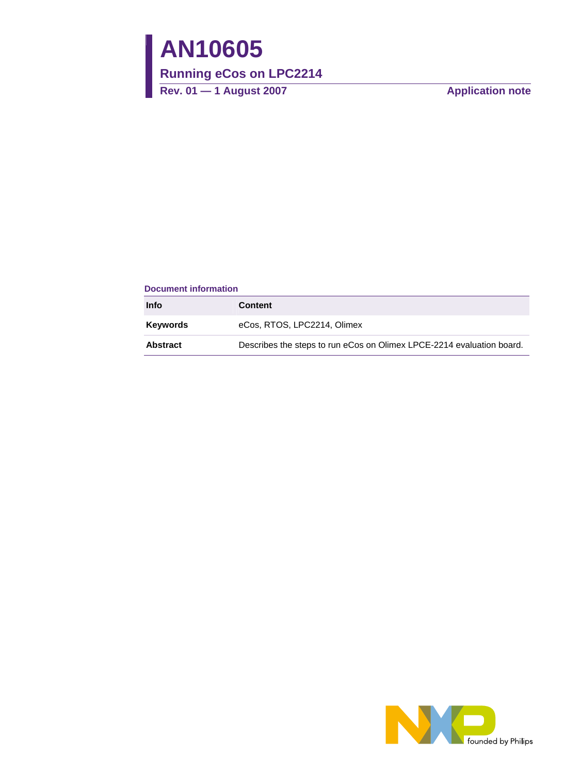# **AN10605**

## **Running eCos on LPC2214**

Rev. 01 — 1 August 2007 **Alternative Contract August 2007** Application note

#### **Document information**

| <b>Info</b>     | <b>Content</b>                                                        |
|-----------------|-----------------------------------------------------------------------|
| <b>Keywords</b> | eCos, RTOS, LPC2214, Olimex                                           |
| <b>Abstract</b> | Describes the steps to run eCos on Olimex LPCE-2214 evaluation board. |

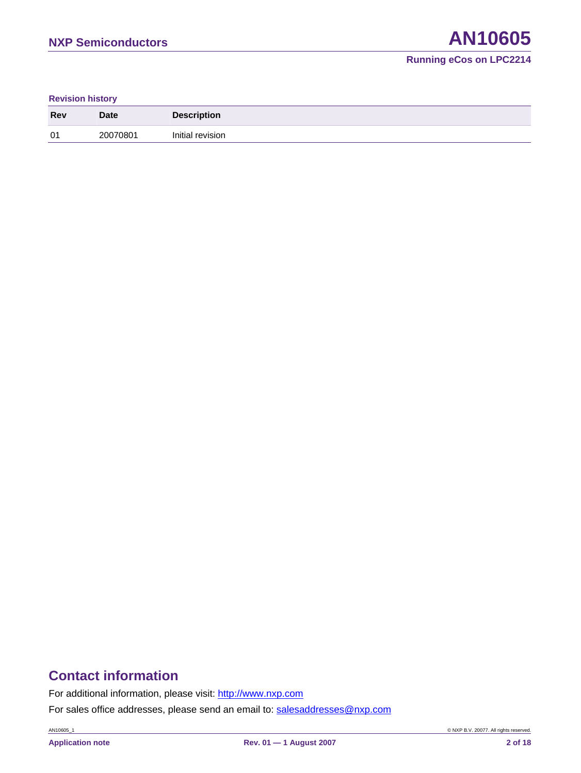#### **Revision history**

| <b>Rev</b> | <b>Date</b> | <b>Description</b> |
|------------|-------------|--------------------|
| 01         | 20070801    | Initial revision   |

## **Contact information**

For additional information, please visit: http://www.nxp.com

For sales office addresses, please send an email to: salesaddresses@nxp.com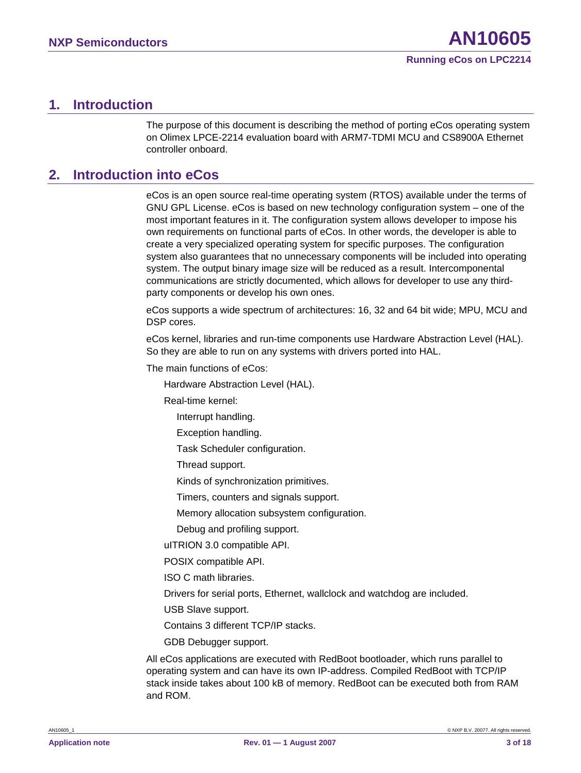## <span id="page-2-0"></span>**1. Introduction**

The purpose of this document is describing the method of porting eCos operating system on Olimex LPCE-2214 evaluation board with ARM7-TDMI MCU and CS8900A Ethernet controller onboard.

## **2. Introduction into eCos**

eCos is an open source real-time operating system (RTOS) available under the terms of GNU GPL License. eCos is based on new technology configuration system – one of the most important features in it. The configuration system allows developer to impose his own requirements on functional parts of eCos. In other words, the developer is able to create a very specialized operating system for specific purposes. The configuration system also guarantees that no unnecessary components will be included into operating system. The output binary image size will be reduced as a result. Intercomponental communications are strictly documented, which allows for developer to use any thirdparty components or develop his own ones.

eCos supports a wide spectrum of architectures: 16, 32 and 64 bit wide; MPU, MCU and DSP cores.

eCos kernel, libraries and run-time components use Hardware Abstraction Level (HAL). So they are able to run on any systems with drivers ported into HAL.

The main functions of eCos:

Hardware Abstraction Level (HAL).

Real-time kernel:

Interrupt handling.

Exception handling.

Task Scheduler configuration.

Thread support.

Kinds of synchronization primitives.

Timers, counters and signals support.

Memory allocation subsystem configuration.

Debug and profiling support.

uITRION 3.0 compatible API.

POSIX compatible API.

ISO C math libraries.

Drivers for serial ports, Ethernet, wallclock and watchdog are included.

USB Slave support.

Contains 3 different TCP/IP stacks.

GDB Debugger support.

All eCos applications are executed with RedBoot bootloader, which runs parallel to operating system and can have its own IP-address. Compiled RedBoot with TCP/IP stack inside takes about 100 kB of memory. RedBoot can be executed both from RAM and ROM.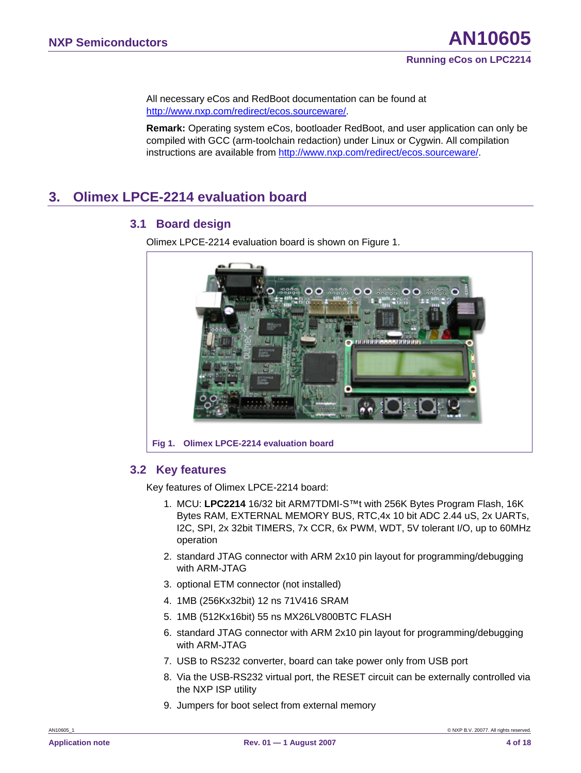<span id="page-3-0"></span>All necessary eCos and RedBoot documentation can be found at [http://www.nxp.com/redirect/ecos.sourceware/.](http://www.nxp.com/redirect/ecos.sourceware/)

**Remark:** Operating system eCos, bootloader RedBoot, and user application can only be compiled with GCC (arm-toolchain redaction) under Linux or Cygwin. All compilation instructions are available from <http://www.nxp.com/redirect/ecos.sourceware/>.

## **3. Olimex LPCE-2214 evaluation board**

#### **3.1 Board design**

Olimex LPCE-2214 evaluation board is shown on Figure 1.



#### **3.2 Key features**

Key features of Olimex LPCE-2214 board:

- 1. MCU: **LPC2214** 16/32 bit ARM7TDMI-S™t with 256K Bytes Program Flash, 16K Bytes RAM, EXTERNAL MEMORY BUS, RTC,4x 10 bit ADC 2.44 uS, 2x UARTs, I2C, SPI, 2x 32bit TIMERS, 7x CCR, 6x PWM, WDT, 5V tolerant I/O, up to 60MHz operation
- 2. standard JTAG connector with ARM 2x10 pin layout for programming/debugging with ARM-JTAG
- 3. optional ETM connector (not installed)
- 4. 1MB (256Kx32bit) 12 ns [71V416](http://www.olimex.com/dev/pdf/71V416_DS_74666.pdf) SRAM
- 5. 1MB (512Kx16bit) 55 ns [MX26LV800BTC](http://www.olimex.com/dev/pdf/MX26LV800T-B-1.2.pdf) FLASH
- 6. standard JTAG connector with ARM 2x10 pin layout for programming/debugging with ARM-JTAG
- 7. USB to RS232 converter, board can take power only from USB port
- 8. Via the USB-RS232 virtual port, the RESET circuit can be externally controlled via the NXP ISP utility
- 9. Jumpers for boot select from external memory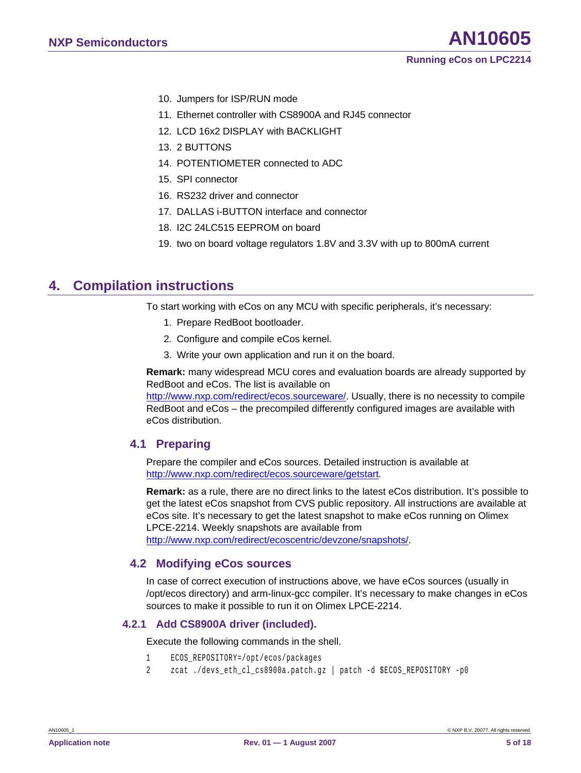- <span id="page-4-0"></span>10. Jumpers for ISP/RUN mode
- 11. Ethernet controller with CS8900A and RJ45 connector
- 12. LCD 16x2 DISPLAY with BACKLIGHT
- 13. 2 BUTTONS
- 14. POTENTIOMETER connected to ADC
- 15. SPI connector
- 16. RS232 driver and connector
- 17. DALLAS i-BUTTON interface and connector
- 18. I2C 24LC515 EEPROM on board
- 19. two on board voltage regulators 1.8V and 3.3V with up to 800mA current

## **4. Compilation instructions**

To start working with eCos on any MCU with specific peripherals, it's necessary:

- 1. Prepare RedBoot bootloader.
- 2. Configure and compile eCos kernel.
- 3. Write your own application and run it on the board.

**Remark:** many widespread MCU cores and evaluation boards are already supported by RedBoot and eCos. The list is available on

[http://www.nxp.com/redirect/ecos.sourceware/.](http://www.nxp.com/redirect/ecos.sourceware/) Usually, there is no necessity to compile RedBoot and eCos – the precompiled differently configured images are available with eCos distribution.

#### **4.1 Preparing**

Prepare the compiler and eCos sources. Detailed instruction is available at [http://www.nxp.com/redirect/ecos.sourceware/getstart.](http://www.nxp.com/redirect/ecos.sourceware/getstart)

**Remark:** as a rule, there are no direct links to the latest eCos distribution. It's possible to get the latest eCos snapshot from CVS public repository. All instructions are available at eCos site. It's necessary to get the latest snapshot to make eCos running on Olimex LPCE-2214. Weekly snapshots are available from

[http://www.nxp.com/redirect/ecoscentric/devzone/snapshots/.](http://www.nxp.com/redirect/ecoscentric/devzone/snapshots/)

#### **4.2 Modifying eCos sources**

In case of correct execution of instructions above, we have eCos sources (usually in /opt/ecos directory) and arm-linux-gcc compiler. It's necessary to make changes in eCos sources to make it possible to run it on Olimex LPCE-2214.

#### **4.2.1 Add CS8900A driver (included).**

Execute the following commands in the shell.

- 1 ECOS\_REPOSITORY=/opt/ecos/packages
- 2 zcat ./devs\_eth\_cl\_cs8900a.patch.gz | patch -d \$ECOS\_REPOSITORY -p0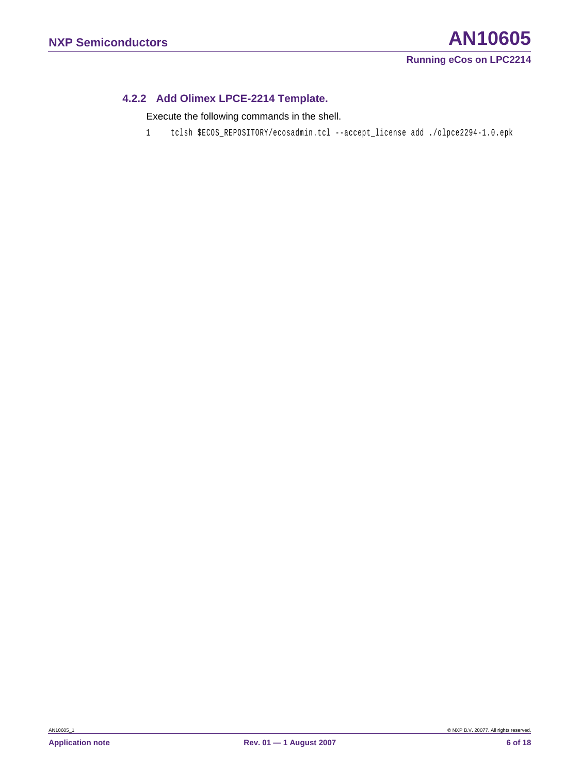#### <span id="page-5-0"></span>**4.2.2 Add Olimex LPCE-2214 Template.**

Execute the following commands in the shell.

1 tclsh \$ECOS\_REPOSITORY/ecosadmin.tcl --accept\_license add ./olpce2294-1.0.epk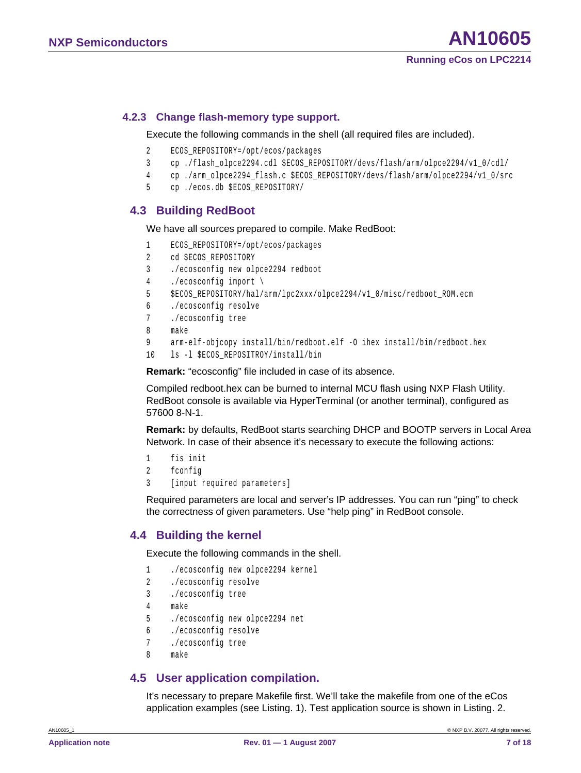#### <span id="page-6-0"></span>**4.2.3 Change flash-memory type support.**

Execute the following commands in the shell (all required files are included).

- 2 ECOS\_REPOSITORY=/opt/ecos/packages
- 3 cp ./flash\_olpce2294.cdl \$ECOS\_REPOSITORY/devs/flash/arm/olpce2294/v1\_0/cdl/
- 4 cp ./arm\_olpce2294\_flash.c \$ECOS\_REPOSITORY/devs/flash/arm/olpce2294/v1\_0/src
- 5 cp ./ecos.db \$ECOS\_REPOSITORY/

#### **4.3 Building RedBoot**

We have all sources prepared to compile. Make RedBoot:

```
1 ECOS_REPOSITORY=/opt/ecos/packages 
2 cd $ECOS REPOSITORY
3 ./ecosconfig new olpce2294 redboot 
4 ./ecosconfig import \ 
5 $ECOS_REPOSITORY/hal/arm/lpc2xxx/olpce2294/v1_0/misc/redboot_ROM.ecm 
6 ./ecosconfig resolve 
7 ./ecosconfig tree 
8 make 
9 arm-elf-objcopy install/bin/redboot.elf -O ihex install/bin/redboot.hex 
10 ls -l $ECOS_REPOSITROY/install/bin
```
**Remark:** "ecosconfig" file included in case of its absence.

Compiled redboot.hex can be burned to internal MCU flash using NXP Flash Utility. RedBoot console is available via HyperTerminal (or another terminal), configured as 57600 8-N-1.

**Remark:** by defaults, RedBoot starts searching DHCP and BOOTP servers in Local Area Network. In case of their absence it's necessary to execute the following actions:

```
1 fis init
```

```
2 fconfig
```
3 [input required parameters]

Required parameters are local and server's IP addresses. You can run "ping" to check the correctness of given parameters. Use "help ping" in RedBoot console.

#### **4.4 Building the kernel**

Execute the following commands in the shell.

```
1 ./ecosconfig new olpce2294 kernel 
2 ./ecosconfig resolve 
3 ./ecosconfig tree 
4 make 
5 ./ecosconfig new olpce2294 net 
6 ./ecosconfig resolve 
7 ./ecosconfig tree 
8 make
```
#### **4.5 User application compilation.**

It's necessary to prepare Makefile first. We'll take the makefile from one of the eCos application examples (see Listing. 1). Test application source is shown in Listing. 2.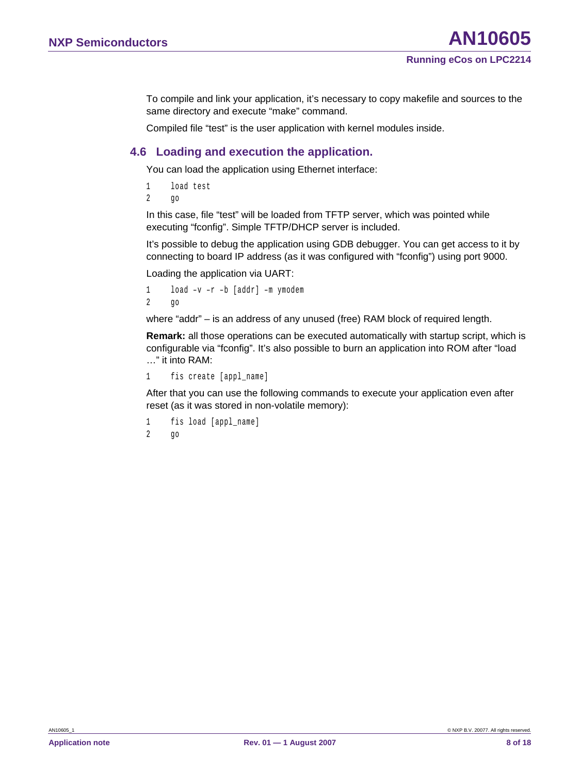<span id="page-7-0"></span>To compile and link your application, it's necessary to copy makefile and sources to the same directory and execute "make" command.

Compiled file "test" is the user application with kernel modules inside.

#### **4.6 Loading and execution the application.**

You can load the application using Ethernet interface:

1 load test

2 go

In this case, file "test" will be loaded from TFTP server, which was pointed while executing "fconfig". Simple TFTP/DHCP server is included.

It's possible to debug the application using GDB debugger. You can get access to it by connecting to board IP address (as it was configured with "fconfig") using port 9000.

Loading the application via UART:

```
1 load –v –r –b [addr] –m ymodem 
2 go
```
where "addr" – is an address of any unused (free) RAM block of required length.

**Remark:** all those operations can be executed automatically with startup script, which is configurable via "fconfig". It's also possible to burn an application into ROM after "load …" it into RAM:

1 fis create [appl name]

After that you can use the following commands to execute your application even after reset (as it was stored in non-volatile memory):

```
1 fis load [appl_name] 
2 go
```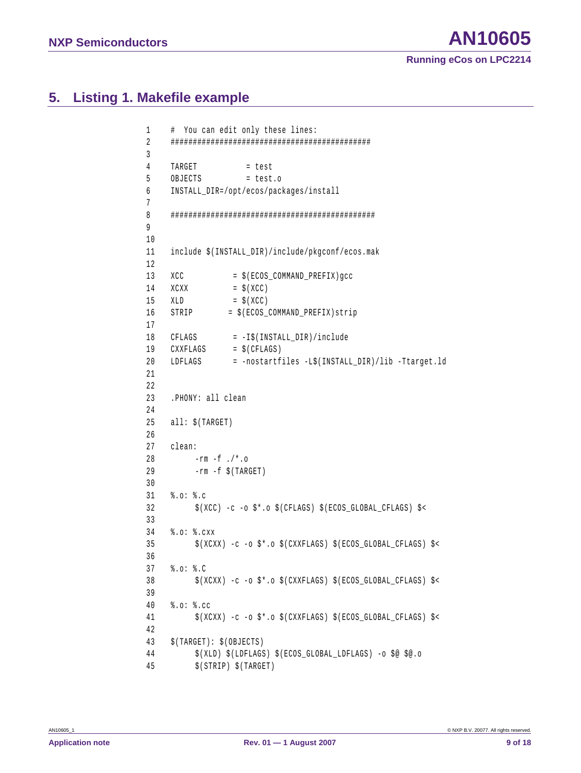## <span id="page-8-0"></span>**5. Listing 1. Makefile example**

```
1 # You can edit only these lines: 
2 ############################################# 
3 
4 TARGET = test
5 OBJECTS = test.o 
6 INSTALL_DIR=/opt/ecos/packages/install 
7 
8 ############################################## 
9 
10 
11 include $(INSTALL_DIR)/include/pkgconf/ecos.mak 
12 
13 XCC = $(ECOS_COMMAND_PREFIX)gcc
14 XCXX = \frac{1}{2} (XCC)
15 XLD = \zeta(XCC)16 STRIP = $(ECOS COMMAND PREFIX)strip
17 
18 CFLAGS = -I$(INSTALL_DIR)/include
19 CXXFLAGS = $(CFLAGS)
20 LDFLAGS = -nostartfiles -L$(INSTALL_DIR)/lib -Ttarget.ld 
21 
22 
23 .PHONY: all clean 
24 
25 all: $(TARGET) 
26 
27 clean: 
28 -rm-f . /*.029 -rm -f $(TARGET) 
30 
31 %.o: %.c 
32 $(XCC) -c -o $*.o $(CFLAGS) $(ECOS GLOBAL CFLAGS) $<
33 
34 %.o: %.cxx 
35 $(XCXX) -c -o $*.o $(CXXFLAGS) $(ECOS_GLOBAL_CFLAGS) $< 
36 
37 %.o: %.C 
38 $(XCXX) -c -o $*.o $(CXXFLAGS) $(ECOS_GLOBAL_CFLAGS) $< 
39 
40 %.o: %.cc 
41 $(XCXX) -c -o $*.o $(CXXFLAGS) $(ECOS GLOBAL CFLAGS) $<
42 
43 $(TARGET): $(OBJECTS) 
44 $(XLD) $(LDFLAGS) $(ECOS_GLOBAL_LDFLAGS) -o $@ $@.o 
45 $(STRIP) $(TARGET)
```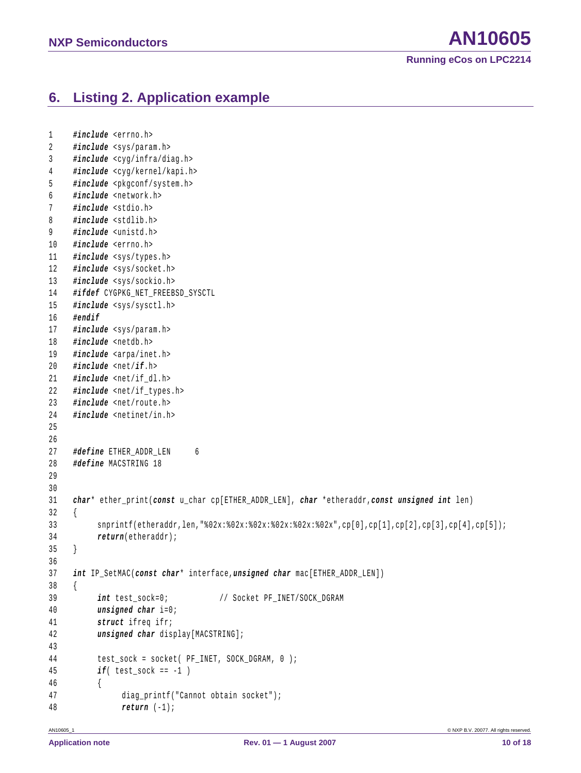## <span id="page-9-0"></span>**6. Listing 2. Application example**

```
1 #include <errno.h> 
2 #include <sys/param.h> 
3 #include <cyg/infra/diag.h> 
4 #include <cyg/kernel/kapi.h> 
5 #include <pkgconf/system.h> 
6 #include <network.h> 
7 #include <stdio.h> 
8 #include <stdlib.h> 
9 #include <unistd.h> 
10 #include <errno.h> 
11 #include <sys/types.h> 
12 #include <sys/socket.h> 
13 #include <sys/sockio.h> 
14 #ifdef CYGPKG_NET_FREEBSD_SYSCTL
15 #include <sys/sysctl.h> 
16 #endif
17 #include <sys/param.h> 
18 #include <netdb.h> 
19 #include <arpa/inet.h> 
20 #include <net/if.h> 
21 #include <net/if_dl.h> 
22 #include <net/if_types.h> 
23 #include <net/route.h> 
24 #include <netinet/in.h> 
25 
26 
27 #define ETHER ADDR LEN 6
28 #define MACSTRING 18 
29 
30 
31 char* ether_print(const u_char cp[ETHER_ADDR_LEN], char *etheraddr,const unsigned int len) 
32 { 
33 snprintf(etheraddr,len,"%02x:%02x:%02x:%02x:%02x:%02x",cp[0],cp[1],cp[2],cp[3],cp[4],cp[5]); 
34 return(etheraddr); 
35 } 
36 
37 int IP_SetMAC(const char* interface,unsigned char mac[ETHER_ADDR_LEN]) 
38 { 
39 int test sock=0; // Socket PF_INET/SOCK_DGRAM
40 unsigned char i=0; 
41 struct ifreq ifr; 
42 unsigned char display[MACSTRING]; 
43 
44 test_sock = socket( PF_INET, SOCK_DGRAM, 0 ); 
45 if( test_sock == -1 ) 
46 { 
47 diag_printf("Cannot obtain socket"); 
48 return (-1);
```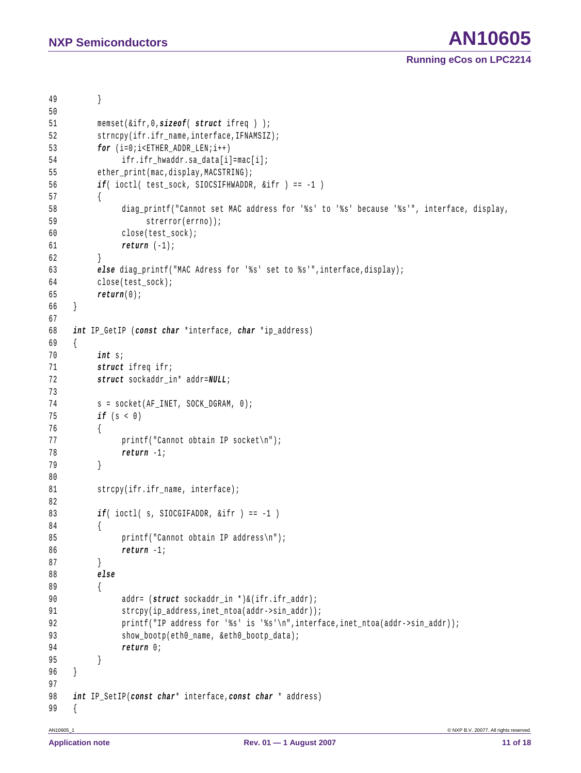```
49 } 
50 
51 memset(&ifr,0,sizeof( struct ifreq ) ); 
52 strncpy(ifr.ifr_name,interface,IFNAMSIZ); 
53 for (i=0; i \times \text{ETHER} ADDR LEN;i++)
54 ifr.ifr hwaddr.sa data[i]=mac[i];
55 ether print(mac,display, MACSTRING);
56 if( ioctl( test_sock, SIOCSIFHWADDR, &ifr ) == -1 ) 
57 { 
58 diag_printf("Cannot set MAC address for '%s' to '%s' because '%s'", interface, display, 
59 strerror(errno)); 
60 close(test_sock); 
61 return (-1); 
62 } 
63 else diag_printf("MAC Adress for '%s' set to %s'",interface,display); 
64 close(test_sock); 
65 return(0); 
66 } 
67 
68 int IP_GetIP (const char *interface, char *ip_address) 
69 { 
70 int s; 
71 struct ifreq ifr; 
72 struct sockaddr_in* addr=NULL; 
73 
74 s = socket(AF_INET, SOCK_DGRAM, 0);
75 if (s < 0) 
76 { 
77 printf("Cannot obtain IP socket\n");
78 return -1; 
79 } 
80 
81 strcpy(ifr.ifr_name,_interface);
82 
83 if( ioctl( s, SIOCGIFADDR, &ifr ) == -1 ) 
84 { 
85 printf("Cannot obtain IP address\n"); 
86 return -1; 
87 } 
88 else
89 { 
90 addr= (struct sockaddr_in *)&(ifr.ifr_addr); 
91 strcpy(ip_address,inet_ntoa(addr->sin_addr)); 
92 printf("IP address for '%s' is '%s'\n",interface,inet ntoa(addr->sin addr));
93 show_bootp(eth0_name, &eth0_bootp_data);
94 return 0; 
95 } 
96 } 
97 
98 int IP_SetIP(const char* interface,const char * address) 
99 {
```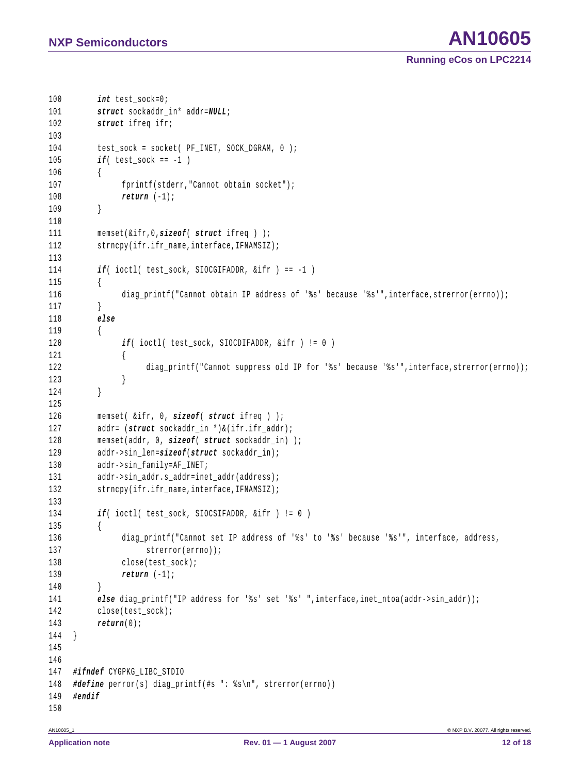```
100 int test sock=0;
101 struct sockaddr_in* addr=NULL; 
102 struct ifreq ifr; 
103 
104 test sock = socket( PF_INET, SOCK_DGRAM, 0 );
105 if( test_sock == -1 ) 
106 { 
107 fprintf(stderr, "Cannot obtain socket");
108 return (-1); 
109 } 
110 
111 memset(&ifr,0,sizeof( struct ifreq ) ); 
112 strncpy(ifr.ifr_name,interface,IFNAMSIZ);
113 
114 if( ioctl( test sock, SIOCGIFADDR, &ifr ) == -1 )
115 { 
116 diag_printf("Cannot obtain IP address of '%s' because '%s'",interface,strerror(errno)); 
117 } 
118 else
119 { 
120 if( ioctl( test_sock, SIOCDIFADDR, &ifr ) != 0 ) 
121 { 
122 diag printf("Cannot suppress old IP for '%s' because '%s'",interface,strerror(errno));
123 } 
124 } 
125 
126 memset( &ifr, 0, sizeof( struct ifreq ) ); 
127 addr= (struct sockaddr_in *)&(ifr.ifr_addr); 
128 memset(addr, 0, sizeof( struct sockaddr_in) ); 
129 addr->sin_len=sizeof(struct sockaddr_in); 
130 addr->sin_family=AF_INET; 
131 addr->sin_addr.s_addr=inet_addr(address);
132 strncpy(ifr.ifr_name,interface,IFNAMSIZ);
133 
134 if( ioctl( test_sock, SIOCSIFADDR, &ifr ) != 0 ) 
135 { 
136 diag_printf("Cannot set IP address of '%s' to '%s' because '%s'", interface, address, 
137 strerror(errno));
138 close(test sock);
139 return (-1); 
140 } 
141 else diag_printf("IP address for '%s' set '%s' ", interface, inet_ntoa(addr->sin_addr));
142 close(test_sock); 
143 return(0); 
144 } 
145 
146 
147 #ifndef CYGPKG_LIBC_STDIO 
148 #define perror(s) diag_printf(#s ": %s\n", strerror(errno)) 
149 #endif
150
```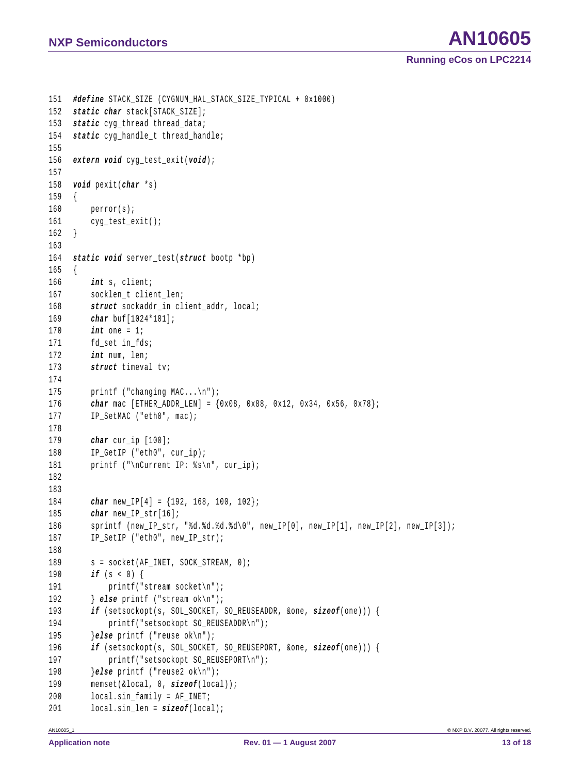```
NXP Semiconductors AN10605
```

```
151 #define STACK_SIZE (CYGNUM_HAL_STACK_SIZE_TYPICAL + 0x1000) 
152 static char stack[STACK_SIZE]; 
153 static cyg_thread thread_data; 
154 static cyg_handle_t thread_handle; 
155 
156 extern void cyg_test_exit(void); 
157 
158 void pexit(char *s) 
159 { 
160 perror(s); 
161 cyg_test_exit(); 
162 } 
163 
164 static void server_test(struct bootp *bp) 
165 { 
166 int s, client; 
167 socklen_t client_len; 
168 struct sockaddr in client addr, local;
169 char buf[1024*101]; 
170 int one = 1; 
171 fd set in fds;
172 int num, len; 
173 struct timeval tv; 
174 
175 printf ("changing MAC...\n"); 
176 char mac [ETHER_ADDR_LEN] = {0x08, 0x88, 0x12, 0x34, 0x56, 0x78}; 
177 IP SetMAC ("eth0", mac);
178 
179 char cur_ip [100]; 
180 IP GetIP ("eth0", cur_ip);
181 printf ("\nCurrent IP: %s\n", cur_ip);
182 
183 
184 char new_IP[4] = {192, 168, 100, 102}; 
185 char new_IP_str[16]; 
186 sprintf (new_IP_str, "%d.%d.%d.%d\0", new_IP[0], new_IP[1], new_IP[2], new_IP[3]); 
187 IP_SetIP ("eth0", new_IP_str); 
188 
189 s = socket(AF_INET, SOCK_STREAM, 0);
190 if (s < 0) { 
191 printf("stream socket\n");
192 } else printf ("stream ok\n"); 
193 if (setsockopt(s, SOL_SOCKET, SO_REUSEADDR, &one, sizeof(one))) { 
194 printf("setsockopt SO_REUSEADDR\n");
195 }else printf ("reuse ok\n"); 
196 if (setsockopt(s, SOL_SOCKET, SO_REUSEPORT, &one, sizeof(one))) { 
197 printf("setsockopt SO_REUSEPORT\n");
198 }else printf ("reuse2 ok\n"); 
199 memset(&local, 0, sizeof(local)); 
200 local.sin_family = AF_INET; 
201 local.sin len = sizeof(local);
```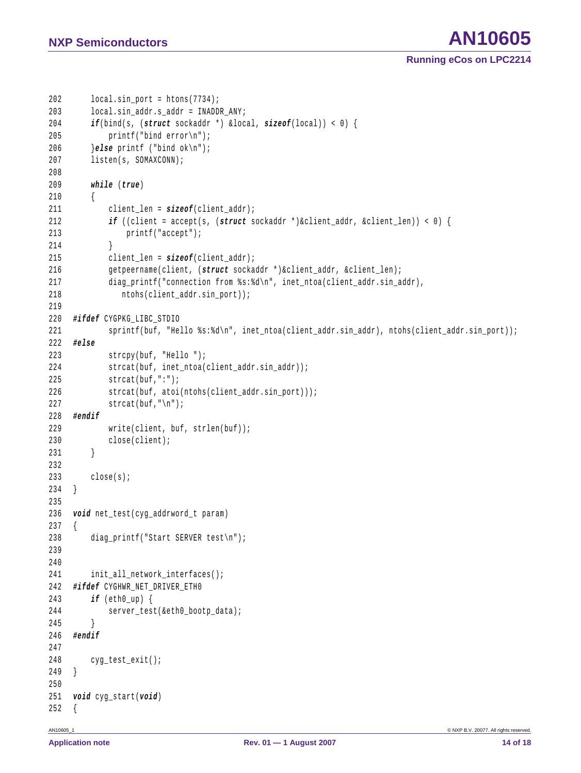```
202 local.sin port = htons(7734);
203 local.sin_addr.s_addr = INADDR_ANY; 
204 if(bind(s, (struct sockaddr *) &local, sizeof(local)) < 0) { 
205 printf("bind error\n"); 
206 }else printf ("bind ok\n"); 
207 listen(s, SOMAXCONN); 
208 
209 while (true) 
210 { 
211 client len = sizeof(client addr);
212 if ((client = accept(s, (struct sockaddr *)&client_addr, &client_len)) < 0) { 
213 printf("accept"); 
214 } 
215 client len = sizeof(client addr);
216 getpeername(client, (struct sockaddr *)&client_addr, &client_len); 
217 diag_printf("connection from %s:%d\n", inet_ntoa(client_addr.sin_addr),
218 ntohs(client_addr.sin_port)); 
219 
220 #ifdef CYGPKG_LIBC_STDIO 
221 sprintf(buf, "Hello %s:%d\n", inet_ntoa(client_addr.sin_addr), ntohs(client_addr.sin_port));
222 #else 
223 strcpy(buf, "Hello "); 
224 strcat(buf, inet_ntoa(client_addr.sin_addr)); 
225 strcat(buf,":"); 
226 strcat(buf, atoi(ntohs(client addr.sin port)));
227 strcat(buf, "\n");
228 #endif
229 write(client, buf, strlen(buf)); 
230 close(client); 
231 } 
232 
233 close(s); 
234 } 
235 
236 void net_test(cyg_addrword_t param) 
237 { 
238 diag_printf("Start SERVER test\n"); 
239 
240 
241 init_all_network_interfaces(); 
242 #ifdef CYGHWR_NET_DRIVER_ETH0 
243 if (eth0_up) { 
244 server_test(&eth0_bootp_data);
245 } 
246 #endif
247 
248 cyg_test_exit();
249 } 
250 
251 void cyg_start(void) 
252 {
```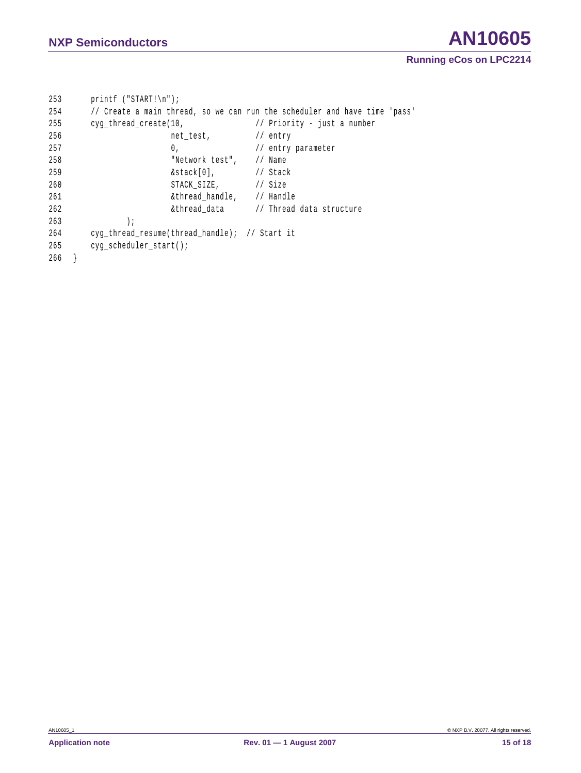## **NXP Semiconductors AN10605**

```
253 printf ("START!\n"); 
254 // Create a main thread, so we can run the scheduler and have time 'pass' 
255 cyg_thread_create(10, \sqrt{25} // Priority - just a number
256 net_test, 1/ entry
257 0, 0, 1/ entry parameter
258 "Network test", // Name 
259 &stack[0], // Stack 
260 STACK_SIZE, // Size
261 &thread_handle, // Handle 
262 62 &thread data // Thread data structure
263 ); 
264 cyg_thread_resume(thread_handle); // Start it 
265 cyg_scheduler_start(); 
266 }
```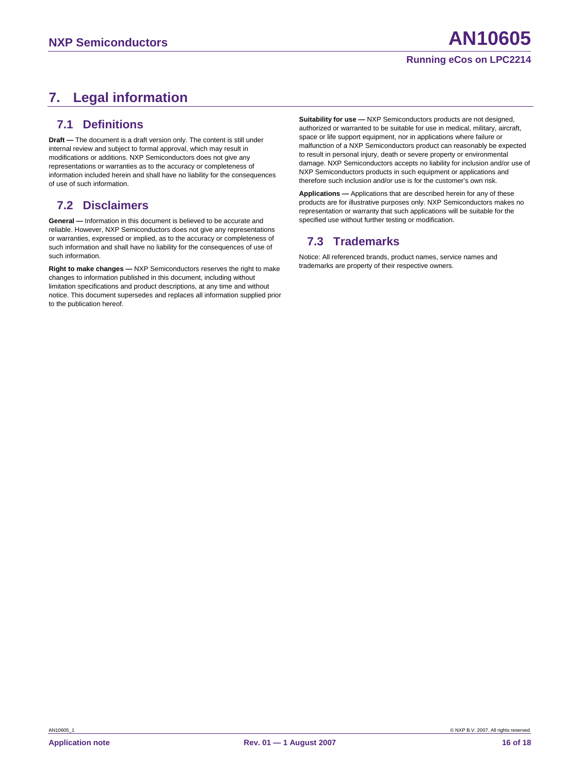## <span id="page-15-0"></span>**7. Legal information**

## **7.1 Definitions**

**Draft —** The document is a draft version only. The content is still under internal review and subject to formal approval, which may result in modifications or additions. NXP Semiconductors does not give any representations or warranties as to the accuracy or completeness of information included herein and shall have no liability for the consequences of use of such information.

## **7.2 Disclaimers**

**General —** Information in this document is believed to be accurate and reliable. However, NXP Semiconductors does not give any representations or warranties, expressed or implied, as to the accuracy or completeness of such information and shall have no liability for the consequences of use of such information.

**Right to make changes —** NXP Semiconductors reserves the right to make changes to information published in this document, including without limitation specifications and product descriptions, at any time and without notice. This document supersedes and replaces all information supplied prior to the publication hereof.

**Suitability for use —** NXP Semiconductors products are not designed, authorized or warranted to be suitable for use in medical, military, aircraft, space or life support equipment, nor in applications where failure or malfunction of a NXP Semiconductors product can reasonably be expected to result in personal injury, death or severe property or environmental damage. NXP Semiconductors accepts no liability for inclusion and/or use of NXP Semiconductors products in such equipment or applications and therefore such inclusion and/or use is for the customer's own risk.

**Applications —** Applications that are described herein for any of these products are for illustrative purposes only. NXP Semiconductors makes no representation or warranty that such applications will be suitable for the specified use without further testing or modification.

## **7.3 Trademarks**

Notice: All referenced brands, product names, service names and trademarks are property of their respective owners.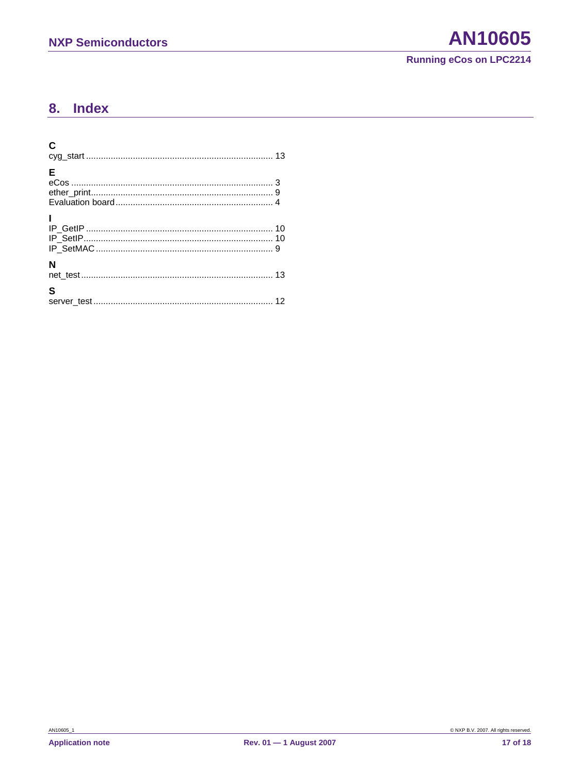#### <span id="page-16-0"></span>**Index** 8.

| C |  |
|---|--|
| E |  |
|   |  |
| N |  |
| S |  |